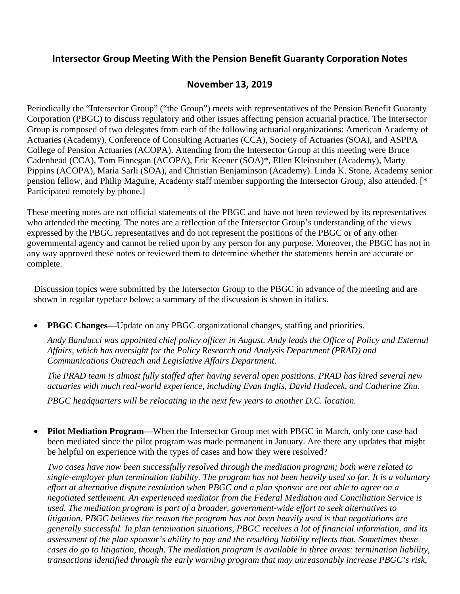# **Intersector Group Meeting With the Pension Benefit Guaranty Corporation Notes**

## **November 13, 2019**

Periodically the "Intersector Group" ("the Group") meets with representatives of the Pension Benefit Guaranty Corporation (PBGC) to discuss regulatory and other issues affecting pension actuarial practice. The Intersector Group is composed of two delegates from each of the following actuarial organizations: American Academy of Actuaries (Academy), Conference of Consulting Actuaries (CCA), Society of Actuaries (SOA), and ASPPA College of Pension Actuaries (ACOPA). Attending from the Intersector Group at this meeting were Bruce Cadenhead (CCA), Tom Finnegan (ACOPA), Eric Keener (SOA)\*, Ellen Kleinstuber (Academy), Marty Pippins (ACOPA), Maria Sarli (SOA), and Christian Benjaminson (Academy). Linda K. Stone, Academy senior pension fellow, and Philip Maguire, Academy staff member supporting the Intersector Group, also attended. [\* Participated remotely by phone.]

These meeting notes are not official statements of the PBGC and have not been reviewed by its representatives who attended the meeting. The notes are a reflection of the Intersector Group's understanding of the views expressed by the PBGC representatives and do not represent the positions of the PBGC or of any other governmental agency and cannot be relied upon by any person for any purpose. Moreover, the PBGC has not in any way approved these notes or reviewed them to determine whether the statements herein are accurate or complete.

Discussion topics were submitted by the Intersector Group to the PBGC in advance of the meeting and are shown in regular typeface below; a summary of the discussion is shown in italics.

• **PBGC Changes—**Update on any PBGC organizational changes, staffing and priorities.

*Andy Banducci was appointed chief policy officer in August. Andy leads the Office of Policy and External Affairs, which has oversight for the Policy Research and Analysis Department (PRAD) and Communications Outreach and Legislative Affairs Department.*

*The PRAD team is almost fully staffed after having several open positions. PRAD has hired several new actuaries with much real-world experience, including Evan Inglis, David Hudecek, and Catherine Zhu.*

*PBGC headquarters will be relocating in the next few years to another D.C. location.*

• **Pilot Mediation Program—**When the Intersector Group met with PBGC in March, only one case had been mediated since the pilot program was made permanent in January. Are there any updates that might be helpful on experience with the types of cases and how they were resolved?

*Two cases have now been successfully resolved through the mediation program; both were related to single-employer plan termination liability. The program has not been heavily used so far. It is a voluntary effort at alternative dispute resolution when PBGC and a plan sponsor are not able to agree on a negotiated settlement. An experienced mediator from the Federal Mediation and Conciliation Service is used. The mediation program is part of a broader, government-wide effort to seek alternatives to litigation. PBGC believes the reason the program has not been heavily used is that negotiations are generally successful. In plan termination situations, PBGC receives a lot of financial information, and its assessment of the plan sponsor's ability to pay and the resulting liability reflects that. Sometimes these cases do go to litigation, though. The mediation program is available in three areas: termination liability, transactions identified through the early warning program that may unreasonably increase PBGC's risk,*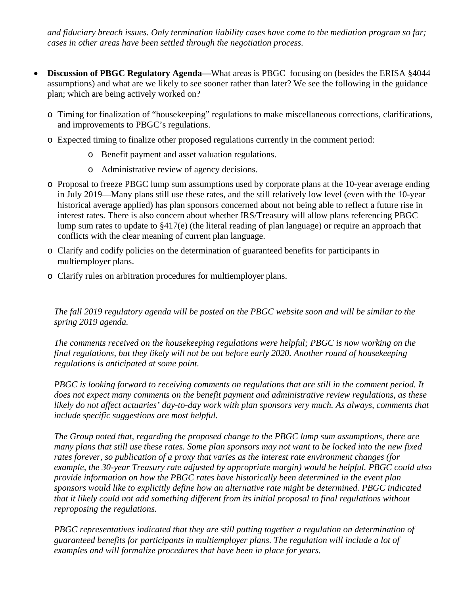*and fiduciary breach issues. Only termination liability cases have come to the mediation program so far; cases in other areas have been settled through the negotiation process.*

- **Discussion of PBGC Regulatory Agenda—**What areas is PBGC focusing on (besides the ERISA §4044 assumptions) and what are we likely to see sooner rather than later? We see the following in the guidance plan; which are being actively worked on?
	- o Timing for finalization of "housekeeping" regulations to make miscellaneous corrections, clarifications, and improvements to PBGC's regulations.
	- o Expected timing to finalize other proposed regulations currently in the comment period:
		- o Benefit payment and asset valuation regulations.
		- o Administrative review of agency decisions.
	- o Proposal to freeze PBGC lump sum assumptions used by corporate plans at the 10-year average ending in July 2019—Many plans still use these rates, and the still relatively low level (even with the 10-year historical average applied) has plan sponsors concerned about not being able to reflect a future rise in interest rates. There is also concern about whether IRS/Treasury will allow plans referencing PBGC lump sum rates to update to §417(e) (the literal reading of plan language) or require an approach that conflicts with the clear meaning of current plan language.
	- o Clarify and codify policies on the determination of guaranteed benefits for participants in multiemployer plans.
	- o Clarify rules on arbitration procedures for multiemployer plans.

*The fall 2019 regulatory agenda will be posted on the PBGC website soon and will be similar to the spring 2019 agenda.*

*The comments received on the housekeeping regulations were helpful; PBGC is now working on the final regulations, but they likely will not be out before early 2020. Another round of housekeeping regulations is anticipated at some point.*

*PBGC is looking forward to receiving comments on regulations that are still in the comment period. It does not expect many comments on the benefit payment and administrative review regulations, as these likely do not affect actuaries' day-to-day work with plan sponsors very much. As always, comments that include specific suggestions are most helpful.*

*The Group noted that, regarding the proposed change to the PBGC lump sum assumptions, there are many plans that still use these rates. Some plan sponsors may not want to be locked into the new fixed rates forever, so publication of a proxy that varies as the interest rate environment changes (for example, the 30-year Treasury rate adjusted by appropriate margin) would be helpful. PBGC could also provide information on how the PBGC rates have historically been determined in the event plan sponsors would like to explicitly define how an alternative rate might be determined. PBGC indicated that it likely could not add something different from its initial proposal to final regulations without reproposing the regulations.*

*PBGC representatives indicated that they are still putting together a regulation on determination of guaranteed benefits for participants in multiemployer plans. The regulation will include a lot of examples and will formalize procedures that have been in place for years.*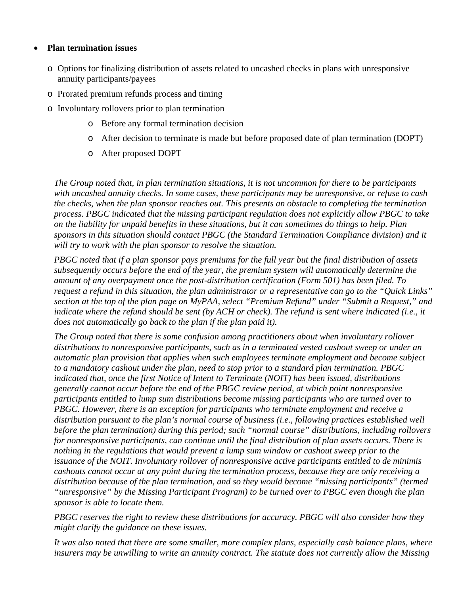### • **Plan termination issues**

- o Options for finalizing distribution of assets related to uncashed checks in plans with unresponsive annuity participants/payees
- o Prorated premium refunds process and timing
- o Involuntary rollovers prior to plan termination
	- o Before any formal termination decision
	- o After decision to terminate is made but before proposed date of plan termination (DOPT)
	- o After proposed DOPT

*The Group noted that, in plan termination situations, it is not uncommon for there to be participants with uncashed annuity checks. In some cases, these participants may be unresponsive, or refuse to cash the checks, when the plan sponsor reaches out. This presents an obstacle to completing the termination process. PBGC indicated that the missing participant regulation does not explicitly allow PBGC to take on the liability for unpaid benefits in these situations, but it can sometimes do things to help. Plan sponsors in this situation should contact PBGC (the Standard Termination Compliance division) and it will try to work with the plan sponsor to resolve the situation.*

*PBGC noted that if a plan sponsor pays premiums for the full year but the final distribution of assets subsequently occurs before the end of the year, the premium system will automatically determine the amount of any overpayment once the post-distribution certification (Form 501) has been filed. To request a refund in this situation, the plan administrator or a representative can go to the "Quick Links" section at the top of the plan page on MyPAA, select "Premium Refund" under "Submit a Request," and indicate where the refund should be sent (by ACH or check). The refund is sent where indicated (i.e., it does not automatically go back to the plan if the plan paid it).*

*The Group noted that there is some confusion among practitioners about when involuntary rollover distributions to nonresponsive participants, such as in a terminated vested cashout sweep or under an automatic plan provision that applies when such employees terminate employment and become subject to a mandatory cashout under the plan, need to stop prior to a standard plan termination. PBGC indicated that, once the first Notice of Intent to Terminate (NOIT) has been issued, distributions generally cannot occur before the end of the PBGC review period, at which point nonresponsive participants entitled to lump sum distributions become missing participants who are turned over to PBGC. However, there is an exception for participants who terminate employment and receive a distribution pursuant to the plan's normal course of business (i.e., following practices established well before the plan termination) during this period; such "normal course" distributions, including rollovers for nonresponsive participants, can continue until the final distribution of plan assets occurs. There is nothing in the regulations that would prevent a lump sum window or cashout sweep prior to the issuance of the NOIT. Involuntary rollover of nonresponsive active participants entitled to de minimis cashouts cannot occur at any point during the termination process, because they are only receiving a distribution because of the plan termination, and so they would become "missing participants" (termed "unresponsive" by the Missing Participant Program) to be turned over to PBGC even though the plan sponsor is able to locate them.* 

*PBGC reserves the right to review these distributions for accuracy. PBGC will also consider how they might clarify the guidance on these issues.*

*It was also noted that there are some smaller, more complex plans, especially cash balance plans, where insurers may be unwilling to write an annuity contract. The statute does not currently allow the Missing*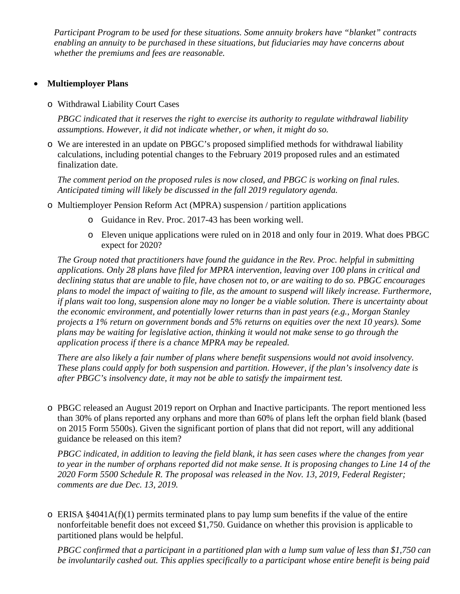*Participant Program to be used for these situations. Some annuity brokers have "blanket" contracts enabling an annuity to be purchased in these situations, but fiduciaries may have concerns about whether the premiums and fees are reasonable.*

### • **Multiemployer Plans**

o Withdrawal Liability Court Cases

*PBGC indicated that it reserves the right to exercise its authority to regulate withdrawal liability assumptions. However, it did not indicate whether, or when, it might do so.*

o We are interested in an update on PBGC's proposed simplified methods for withdrawal liability calculations, including potential changes to the February 2019 proposed rules and an estimated finalization date.

*The comment period on the proposed rules is now closed, and PBGC is working on final rules. Anticipated timing will likely be discussed in the fall 2019 regulatory agenda.*

- o Multiemployer Pension Reform Act (MPRA) suspension / partition applications
	- o Guidance in Rev. Proc. 2017-43 has been working well.
	- o Eleven unique applications were ruled on in 2018 and only four in 2019. What does PBGC expect for 2020?

*The Group noted that practitioners have found the guidance in the Rev. Proc. helpful in submitting applications. Only 28 plans have filed for MPRA intervention, leaving over 100 plans in critical and declining status that are unable to file, have chosen not to, or are waiting to do so. PBGC encourages plans to model the impact of waiting to file, as the amount to suspend will likely increase. Furthermore, if plans wait too long, suspension alone may no longer be a viable solution. There is uncertainty about the economic environment, and potentially lower returns than in past years (e.g., Morgan Stanley projects a 1% return on government bonds and 5% returns on equities over the next 10 years). Some plans may be waiting for legislative action, thinking it would not make sense to go through the application process if there is a chance MPRA may be repealed.* 

*There are also likely a fair number of plans where benefit suspensions would not avoid insolvency. These plans could apply for both suspension and partition. However, if the plan's insolvency date is after PBGC's insolvency date, it may not be able to satisfy the impairment test.*

o PBGC released an August 2019 report on Orphan and Inactive participants. The report mentioned less than 30% of plans reported any orphans and more than 60% of plans left the orphan field blank (based on 2015 Form 5500s). Given the significant portion of plans that did not report, will any additional guidance be released on this item?

*PBGC indicated, in addition to leaving the field blank, it has seen cases where the changes from year to year in the number of orphans reported did not make sense. It is proposing changes to Line 14 of the 2020 Form 5500 Schedule R. The proposal was released in the Nov. 13, 2019, Federal Register; comments are due Dec. 13, 2019.*

 $\circ$  ERISA §4041A(f)(1) permits terminated plans to pay lump sum benefits if the value of the entire nonforfeitable benefit does not exceed \$1,750. Guidance on whether this provision is applicable to partitioned plans would be helpful.

*PBGC confirmed that a participant in a partitioned plan with a lump sum value of less than \$1,750 can be involuntarily cashed out. This applies specifically to a participant whose entire benefit is being paid*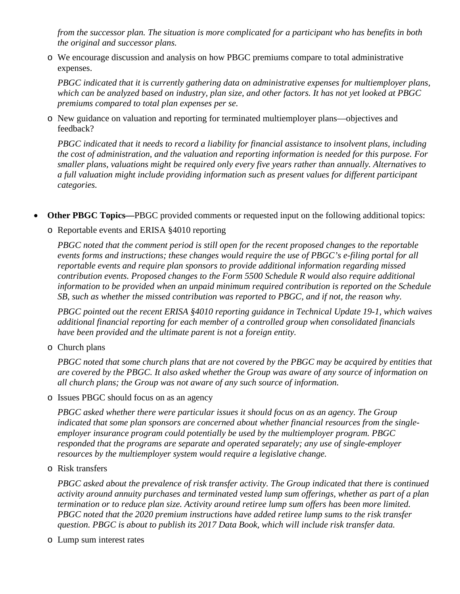*from the successor plan. The situation is more complicated for a participant who has benefits in both the original and successor plans.*

o We encourage discussion and analysis on how PBGC premiums compare to total administrative expenses.

*PBGC indicated that it is currently gathering data on administrative expenses for multiemployer plans, which can be analyzed based on industry, plan size, and other factors. It has not yet looked at PBGC premiums compared to total plan expenses per se.*

o New guidance on valuation and reporting for terminated multiemployer plans—objectives and feedback?

*PBGC indicated that it needs to record a liability for financial assistance to insolvent plans, including the cost of administration, and the valuation and reporting information is needed for this purpose. For smaller plans, valuations might be required only every five years rather than annually. Alternatives to a full valuation might include providing information such as present values for different participant categories.*

#### • **Other PBGC Topics—PBGC** provided comments or requested input on the following additional topics:

o Reportable events and ERISA §4010 reporting

*PBGC noted that the comment period is still open for the recent proposed changes to the reportable events forms and instructions; these changes would require the use of PBGC's e-filing portal for all reportable events and require plan sponsors to provide additional information regarding missed contribution events. Proposed changes to the Form 5500 Schedule R would also require additional information to be provided when an unpaid minimum required contribution is reported on the Schedule SB, such as whether the missed contribution was reported to PBGC, and if not, the reason why.*

*PBGC pointed out the recent ERISA §4010 reporting guidance in Technical Update 19-1, which waives additional financial reporting for each member of a controlled group when consolidated financials have been provided and the ultimate parent is not a foreign entity.*

o Church plans

*PBGC noted that some church plans that are not covered by the PBGC may be acquired by entities that are covered by the PBGC. It also asked whether the Group was aware of any source of information on all church plans; the Group was not aware of any such source of information.*

o Issues PBGC should focus on as an agency

*PBGC asked whether there were particular issues it should focus on as an agency. The Group indicated that some plan sponsors are concerned about whether financial resources from the singleemployer insurance program could potentially be used by the multiemployer program. PBGC responded that the programs are separate and operated separately; any use of single-employer resources by the multiemployer system would require a legislative change.* 

o Risk transfers

*PBGC asked about the prevalence of risk transfer activity. The Group indicated that there is continued activity around annuity purchases and terminated vested lump sum offerings, whether as part of a plan termination or to reduce plan size. Activity around retiree lump sum offers has been more limited. PBGC noted that the 2020 premium instructions have added retiree lump sums to the risk transfer question. PBGC is about to publish its 2017 Data Book, which will include risk transfer data.*

o Lump sum interest rates